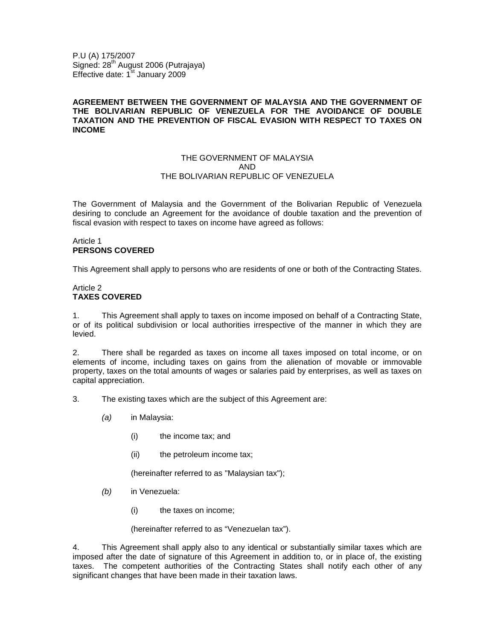P.U (A) 175/2007 Signed: 28<sup>th</sup> August 2006 (Putrajaya) Effective date:  $1<sup>st</sup>$  January 2009

### **AGREEMENT BETWEEN THE GOVERNMENT OF MALAYSIA AND THE GOVERNMENT OF THE BOLIVARIAN REPUBLIC OF VENEZUELA FOR THE AVOIDANCE OF DOUBLE TAXATION AND THE PREVENTION OF FISCAL EVASION WITH RESPECT TO TAXES ON INCOME**

### THE GOVERNMENT OF MALAYSIA AND THE BOLIVARIAN REPUBLIC OF VENEZUELA

The Government of Malaysia and the Government of the Bolivarian Republic of Venezuela desiring to conclude an Agreement for the avoidance of double taxation and the prevention of fiscal evasion with respect to taxes on income have agreed as follows:

### Article 1 **PERSONS COVERED**

This Agreement shall apply to persons who are residents of one or both of the Contracting States.

# Article 2 **TAXES COVERED**

1. This Agreement shall apply to taxes on income imposed on behalf of a Contracting State, or of its political subdivision or local authorities irrespective of the manner in which they are levied.

2. There shall be regarded as taxes on income all taxes imposed on total income, or on elements of income, including taxes on gains from the alienation of movable or immovable property, taxes on the total amounts of wages or salaries paid by enterprises, as well as taxes on capital appreciation.

3. The existing taxes which are the subject of this Agreement are:

- (a) in Malaysia:
	- (i) the income tax; and
	- (ii) the petroleum income tax;

(hereinafter referred to as "Malaysian tax");

- (b) in Venezuela:
	- (i) the taxes on income;

(hereinafter referred to as "Venezuelan tax").

4. This Agreement shall apply also to any identical or substantially similar taxes which are imposed after the date of signature of this Agreement in addition to, or in place of, the existing taxes. The competent authorities of the Contracting States shall notify each other of any significant changes that have been made in their taxation laws.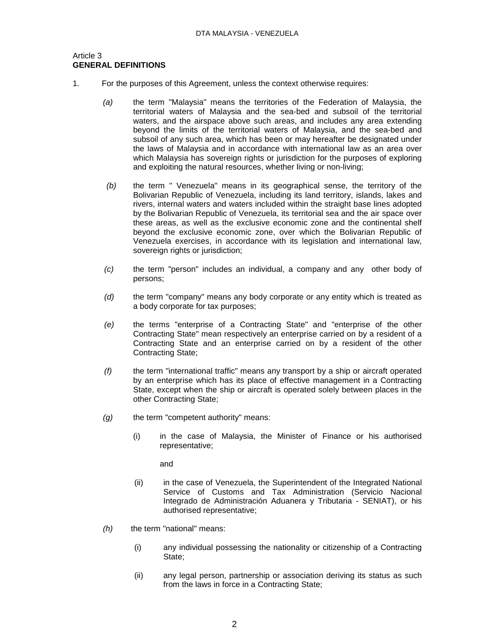### Article 3 **GENERAL DEFINITIONS**

- 1. For the purposes of this Agreement, unless the context otherwise requires:
	- (a) the term "Malaysia" means the territories of the Federation of Malaysia, the territorial waters of Malaysia and the sea-bed and subsoil of the territorial waters, and the airspace above such areas, and includes any area extending beyond the limits of the territorial waters of Malaysia, and the sea-bed and subsoil of any such area, which has been or may hereafter be designated under the laws of Malaysia and in accordance with international law as an area over which Malaysia has sovereign rights or jurisdiction for the purposes of exploring and exploiting the natural resources, whether living or non-living;
	- (b) the term " Venezuela" means in its geographical sense, the territory of the Bolivarian Republic of Venezuela, including its land territory, islands, lakes and rivers, internal waters and waters included within the straight base lines adopted by the Bolivarian Republic of Venezuela, its territorial sea and the air space over these areas, as well as the exclusive economic zone and the continental shelf beyond the exclusive economic zone, over which the Bolivarian Republic of Venezuela exercises, in accordance with its legislation and international law, sovereign rights or jurisdiction;
	- (c) the term "person" includes an individual, a company and any other body of persons;
	- (d) the term "company" means any body corporate or any entity which is treated as a body corporate for tax purposes;
	- (e) the terms "enterprise of a Contracting State" and "enterprise of the other Contracting State" mean respectively an enterprise carried on by a resident of a Contracting State and an enterprise carried on by a resident of the other Contracting State;
	- $(f)$  the term "international traffic" means any transport by a ship or aircraft operated by an enterprise which has its place of effective management in a Contracting State, except when the ship or aircraft is operated solely between places in the other Contracting State;
	- $(q)$  the term "competent authority" means:
		- (i) in the case of Malaysia, the Minister of Finance or his authorised representative;

and

- (ii) in the case of Venezuela, the Superintendent of the Integrated National Service of Customs and Tax Administration (Servicio Nacional Integrado de Administración Aduanera y Tributaria - SENIAT), or his authorised representative;
- $(h)$  the term "national" means:
	- (i) any individual possessing the nationality or citizenship of a Contracting State;
	- (ii) any legal person, partnership or association deriving its status as such from the laws in force in a Contracting State;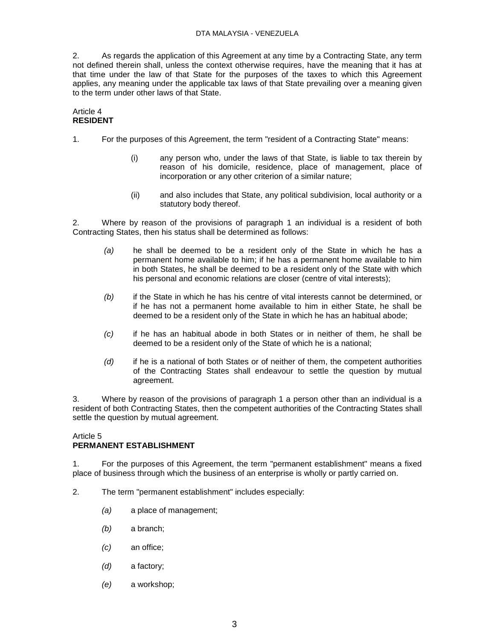#### DTA MALAYSIA - VENEZUELA

2. As regards the application of this Agreement at any time by a Contracting State, any term not defined therein shall, unless the context otherwise requires, have the meaning that it has at that time under the law of that State for the purposes of the taxes to which this Agreement applies, any meaning under the applicable tax laws of that State prevailing over a meaning given to the term under other laws of that State.

#### Article 4 **RESIDENT**

- 1. For the purposes of this Agreement, the term "resident of a Contracting State" means:
	- (i) any person who, under the laws of that State, is liable to tax therein by reason of his domicile, residence, place of management, place of incorporation or any other criterion of a similar nature;
	- (ii) and also includes that State, any political subdivision, local authority or a statutory body thereof.

2. Where by reason of the provisions of paragraph 1 an individual is a resident of both Contracting States, then his status shall be determined as follows:

- (a) he shall be deemed to be a resident only of the State in which he has a permanent home available to him; if he has a permanent home available to him in both States, he shall be deemed to be a resident only of the State with which his personal and economic relations are closer (centre of vital interests);
- (b) if the State in which he has his centre of vital interests cannot be determined, or if he has not a permanent home available to him in either State, he shall be deemed to be a resident only of the State in which he has an habitual abode;
- (c) if he has an habitual abode in both States or in neither of them, he shall be deemed to be a resident only of the State of which he is a national;
- $(d)$  if he is a national of both States or of neither of them, the competent authorities of the Contracting States shall endeavour to settle the question by mutual agreement.

3. Where by reason of the provisions of paragraph 1 a person other than an individual is a resident of both Contracting States, then the competent authorities of the Contracting States shall settle the question by mutual agreement.

#### Article 5 **PERMANENT ESTABLISHMENT**

1. For the purposes of this Agreement, the term "permanent establishment" means a fixed place of business through which the business of an enterprise is wholly or partly carried on.

- 2. The term "permanent establishment" includes especially:
	- (a) a place of management;
	- (b) a branch;
	- (c) an office;
	- (d) a factory;
	- (e) a workshop;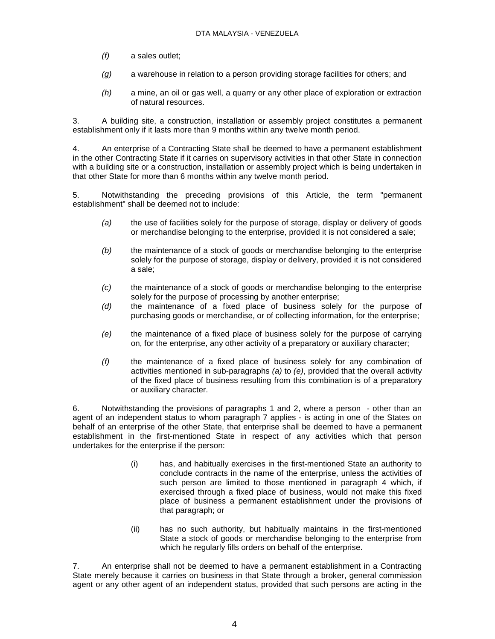- (f) a sales outlet;
- $(q)$  a warehouse in relation to a person providing storage facilities for others; and
- $(h)$  a mine, an oil or gas well, a quarry or any other place of exploration or extraction of natural resources.

3. A building site, a construction, installation or assembly project constitutes a permanent establishment only if it lasts more than 9 months within any twelve month period.

4. An enterprise of a Contracting State shall be deemed to have a permanent establishment in the other Contracting State if it carries on supervisory activities in that other State in connection with a building site or a construction, installation or assembly project which is being undertaken in that other State for more than 6 months within any twelve month period.

5. Notwithstanding the preceding provisions of this Article, the term "permanent establishment" shall be deemed not to include:

- (a) the use of facilities solely for the purpose of storage, display or delivery of goods or merchandise belonging to the enterprise, provided it is not considered a sale;
- (b) the maintenance of a stock of goods or merchandise belonging to the enterprise solely for the purpose of storage, display or delivery, provided it is not considered a sale;
- (c) the maintenance of a stock of goods or merchandise belonging to the enterprise solely for the purpose of processing by another enterprise;
- (d) the maintenance of a fixed place of business solely for the purpose of purchasing goods or merchandise, or of collecting information, for the enterprise;
- (e) the maintenance of a fixed place of business solely for the purpose of carrying on, for the enterprise, any other activity of a preparatory or auxiliary character;
- $(f)$  the maintenance of a fixed place of business solely for any combination of activities mentioned in sub-paragraphs  $(a)$  to  $(e)$ , provided that the overall activity of the fixed place of business resulting from this combination is of a preparatory or auxiliary character.

6. Notwithstanding the provisions of paragraphs 1 and 2, where a person - other than an agent of an independent status to whom paragraph 7 applies - is acting in one of the States on behalf of an enterprise of the other State, that enterprise shall be deemed to have a permanent establishment in the first-mentioned State in respect of any activities which that person undertakes for the enterprise if the person:

- (i) has, and habitually exercises in the first-mentioned State an authority to conclude contracts in the name of the enterprise, unless the activities of such person are limited to those mentioned in paragraph 4 which, if exercised through a fixed place of business, would not make this fixed place of business a permanent establishment under the provisions of that paragraph; or
- (ii) has no such authority, but habitually maintains in the first-mentioned State a stock of goods or merchandise belonging to the enterprise from which he regularly fills orders on behalf of the enterprise.

7. An enterprise shall not be deemed to have a permanent establishment in a Contracting State merely because it carries on business in that State through a broker, general commission agent or any other agent of an independent status, provided that such persons are acting in the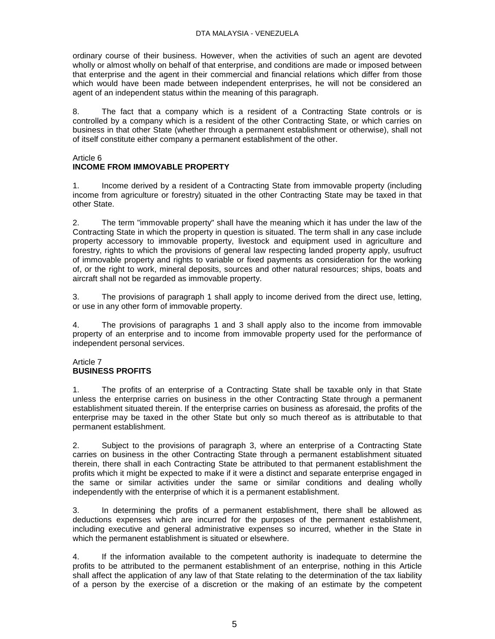ordinary course of their business. However, when the activities of such an agent are devoted wholly or almost wholly on behalf of that enterprise, and conditions are made or imposed between that enterprise and the agent in their commercial and financial relations which differ from those which would have been made between independent enterprises, he will not be considered an agent of an independent status within the meaning of this paragraph.

8. The fact that a company which is a resident of a Contracting State controls or is controlled by a company which is a resident of the other Contracting State, or which carries on business in that other State (whether through a permanent establishment or otherwise), shall not of itself constitute either company a permanent establishment of the other.

# Article 6

# **INCOME FROM IMMOVABLE PROPERTY**

1. Income derived by a resident of a Contracting State from immovable property (including income from agriculture or forestry) situated in the other Contracting State may be taxed in that other State.

2. The term "immovable property" shall have the meaning which it has under the law of the Contracting State in which the property in question is situated. The term shall in any case include property accessory to immovable property, livestock and equipment used in agriculture and forestry, rights to which the provisions of general law respecting landed property apply, usufruct of immovable property and rights to variable or fixed payments as consideration for the working of, or the right to work, mineral deposits, sources and other natural resources; ships, boats and aircraft shall not be regarded as immovable property.

3. The provisions of paragraph 1 shall apply to income derived from the direct use, letting, or use in any other form of immovable property.

4. The provisions of paragraphs 1 and 3 shall apply also to the income from immovable property of an enterprise and to income from immovable property used for the performance of independent personal services.

# Article 7 **BUSINESS PROFITS**

1. The profits of an enterprise of a Contracting State shall be taxable only in that State unless the enterprise carries on business in the other Contracting State through a permanent establishment situated therein. If the enterprise carries on business as aforesaid, the profits of the enterprise may be taxed in the other State but only so much thereof as is attributable to that permanent establishment.

2. Subject to the provisions of paragraph 3, where an enterprise of a Contracting State carries on business in the other Contracting State through a permanent establishment situated therein, there shall in each Contracting State be attributed to that permanent establishment the profits which it might be expected to make if it were a distinct and separate enterprise engaged in the same or similar activities under the same or similar conditions and dealing wholly independently with the enterprise of which it is a permanent establishment.

3. In determining the profits of a permanent establishment, there shall be allowed as deductions expenses which are incurred for the purposes of the permanent establishment, including executive and general administrative expenses so incurred, whether in the State in which the permanent establishment is situated or elsewhere.

4. If the information available to the competent authority is inadequate to determine the profits to be attributed to the permanent establishment of an enterprise, nothing in this Article shall affect the application of any law of that State relating to the determination of the tax liability of a person by the exercise of a discretion or the making of an estimate by the competent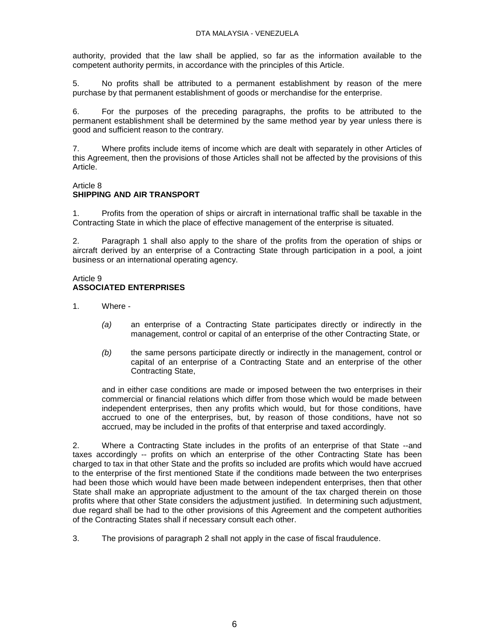authority, provided that the law shall be applied, so far as the information available to the competent authority permits, in accordance with the principles of this Article.

5. No profits shall be attributed to a permanent establishment by reason of the mere purchase by that permanent establishment of goods or merchandise for the enterprise.

6. For the purposes of the preceding paragraphs, the profits to be attributed to the permanent establishment shall be determined by the same method year by year unless there is good and sufficient reason to the contrary.

7. Where profits include items of income which are dealt with separately in other Articles of this Agreement, then the provisions of those Articles shall not be affected by the provisions of this Article.

### Article 8 **SHIPPING AND AIR TRANSPORT**

1. Profits from the operation of ships or aircraft in international traffic shall be taxable in the Contracting State in which the place of effective management of the enterprise is situated.

2. Paragraph 1 shall also apply to the share of the profits from the operation of ships or aircraft derived by an enterprise of a Contracting State through participation in a pool, a joint business or an international operating agency.

#### Article 9 **ASSOCIATED ENTERPRISES**

- 1. Where
	- (a) an enterprise of a Contracting State participates directly or indirectly in the management, control or capital of an enterprise of the other Contracting State, or
	- (b) the same persons participate directly or indirectly in the management, control or capital of an enterprise of a Contracting State and an enterprise of the other Contracting State,

and in either case conditions are made or imposed between the two enterprises in their commercial or financial relations which differ from those which would be made between independent enterprises, then any profits which would, but for those conditions, have accrued to one of the enterprises, but, by reason of those conditions, have not so accrued, may be included in the profits of that enterprise and taxed accordingly.

2. Where a Contracting State includes in the profits of an enterprise of that State --and taxes accordingly -- profits on which an enterprise of the other Contracting State has been charged to tax in that other State and the profits so included are profits which would have accrued to the enterprise of the first mentioned State if the conditions made between the two enterprises had been those which would have been made between independent enterprises, then that other State shall make an appropriate adjustment to the amount of the tax charged therein on those profits where that other State considers the adjustment justified. In determining such adjustment, due regard shall be had to the other provisions of this Agreement and the competent authorities of the Contracting States shall if necessary consult each other.

3. The provisions of paragraph 2 shall not apply in the case of fiscal fraudulence.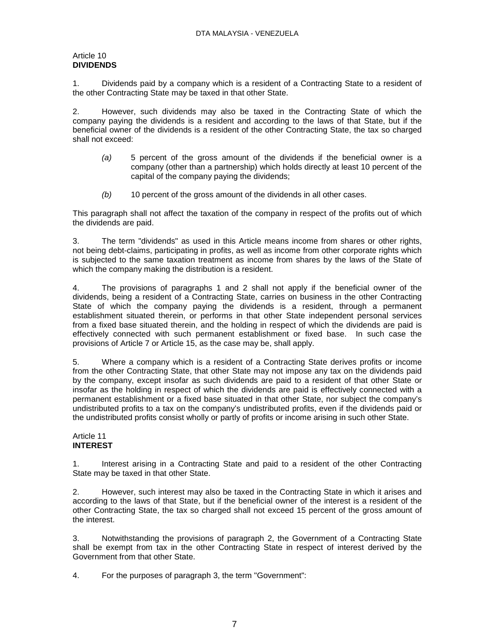### Article 10 **DIVIDENDS**

1. Dividends paid by a company which is a resident of a Contracting State to a resident of the other Contracting State may be taxed in that other State.

2. However, such dividends may also be taxed in the Contracting State of which the company paying the dividends is a resident and according to the laws of that State, but if the beneficial owner of the dividends is a resident of the other Contracting State, the tax so charged shall not exceed:

- (a) 5 percent of the gross amount of the dividends if the beneficial owner is a company (other than a partnership) which holds directly at least 10 percent of the capital of the company paying the dividends;
- $(b)$  10 percent of the gross amount of the dividends in all other cases.

This paragraph shall not affect the taxation of the company in respect of the profits out of which the dividends are paid.

3. The term "dividends" as used in this Article means income from shares or other rights, not being debt-claims, participating in profits, as well as income from other corporate rights which is subjected to the same taxation treatment as income from shares by the laws of the State of which the company making the distribution is a resident.

4. The provisions of paragraphs 1 and 2 shall not apply if the beneficial owner of the dividends, being a resident of a Contracting State, carries on business in the other Contracting State of which the company paying the dividends is a resident, through a permanent establishment situated therein, or performs in that other State independent personal services from a fixed base situated therein, and the holding in respect of which the dividends are paid is effectively connected with such permanent establishment or fixed base. In such case the provisions of Article 7 or Article 15, as the case may be, shall apply.

5. Where a company which is a resident of a Contracting State derives profits or income from the other Contracting State, that other State may not impose any tax on the dividends paid by the company, except insofar as such dividends are paid to a resident of that other State or insofar as the holding in respect of which the dividends are paid is effectively connected with a permanent establishment or a fixed base situated in that other State, nor subject the company's undistributed profits to a tax on the company's undistributed profits, even if the dividends paid or the undistributed profits consist wholly or partly of profits or income arising in such other State.

#### Article 11 **INTEREST**

1. Interest arising in a Contracting State and paid to a resident of the other Contracting State may be taxed in that other State.

2. However, such interest may also be taxed in the Contracting State in which it arises and according to the laws of that State, but if the beneficial owner of the interest is a resident of the other Contracting State, the tax so charged shall not exceed 15 percent of the gross amount of the interest.

3. Notwithstanding the provisions of paragraph 2, the Government of a Contracting State shall be exempt from tax in the other Contracting State in respect of interest derived by the Government from that other State.

4. For the purposes of paragraph 3, the term "Government":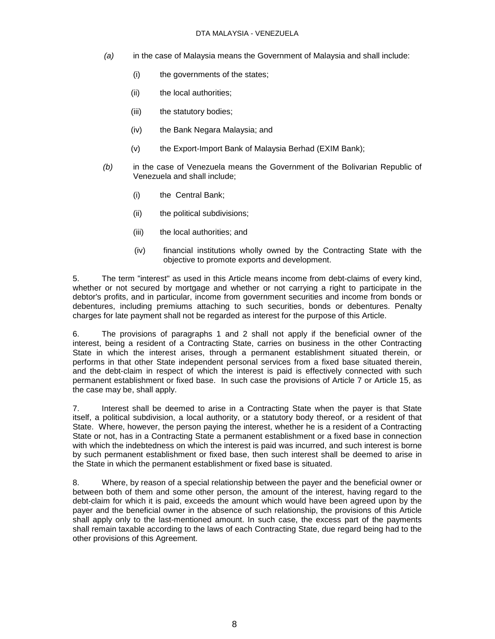- (a) in the case of Malaysia means the Government of Malaysia and shall include:
	- (i) the governments of the states;
	- (ii) the local authorities;
	- (iii) the statutory bodies;
	- (iv) the Bank Negara Malaysia; and
	- (v) the Export-Import Bank of Malaysia Berhad (EXIM Bank);
- (b) in the case of Venezuela means the Government of the Bolivarian Republic of Venezuela and shall include;
	- (i) the Central Bank;
	- (ii) the political subdivisions;
	- (iii) the local authorities; and
	- (iv) financial institutions wholly owned by the Contracting State with the objective to promote exports and development.

5. The term "interest" as used in this Article means income from debt-claims of every kind, whether or not secured by mortgage and whether or not carrying a right to participate in the debtor's profits, and in particular, income from government securities and income from bonds or debentures, including premiums attaching to such securities, bonds or debentures. Penalty charges for late payment shall not be regarded as interest for the purpose of this Article.

6. The provisions of paragraphs 1 and 2 shall not apply if the beneficial owner of the interest, being a resident of a Contracting State, carries on business in the other Contracting State in which the interest arises, through a permanent establishment situated therein, or performs in that other State independent personal services from a fixed base situated therein, and the debt-claim in respect of which the interest is paid is effectively connected with such permanent establishment or fixed base. In such case the provisions of Article 7 or Article 15, as the case may be, shall apply.

7. Interest shall be deemed to arise in a Contracting State when the payer is that State itself, a political subdivision, a local authority, or a statutory body thereof, or a resident of that State. Where, however, the person paying the interest, whether he is a resident of a Contracting State or not, has in a Contracting State a permanent establishment or a fixed base in connection with which the indebtedness on which the interest is paid was incurred, and such interest is borne by such permanent establishment or fixed base, then such interest shall be deemed to arise in the State in which the permanent establishment or fixed base is situated.

8. Where, by reason of a special relationship between the payer and the beneficial owner or between both of them and some other person, the amount of the interest, having regard to the debt-claim for which it is paid, exceeds the amount which would have been agreed upon by the payer and the beneficial owner in the absence of such relationship, the provisions of this Article shall apply only to the last-mentioned amount. In such case, the excess part of the payments shall remain taxable according to the laws of each Contracting State, due regard being had to the other provisions of this Agreement.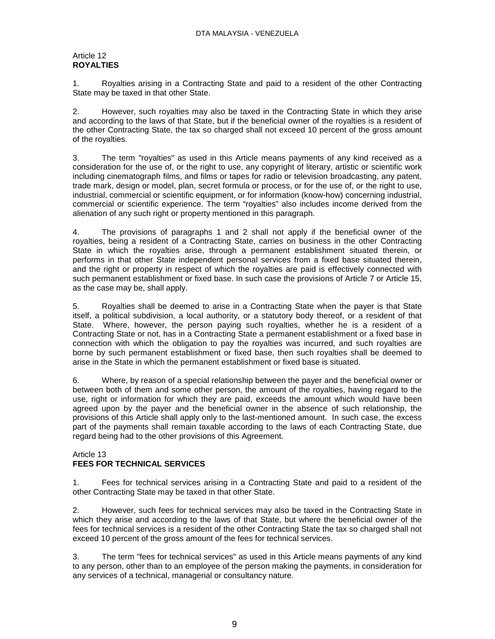#### Article 12 **ROYALTIES**

1. Royalties arising in a Contracting State and paid to a resident of the other Contracting State may be taxed in that other State.

2. However, such royalties may also be taxed in the Contracting State in which they arise and according to the laws of that State, but if the beneficial owner of the royalties is a resident of the other Contracting State, the tax so charged shall not exceed 10 percent of the gross amount of the royalties.

3. The term "royalties" as used in this Article means payments of any kind received as a consideration for the use of, or the right to use, any copyright of literary, artistic or scientific work including cinematograph films, and films or tapes for radio or television broadcasting, any patent, trade mark, design or model, plan, secret formula or process, or for the use of, or the right to use, industrial, commercial or scientific equipment, or for information (know-how) concerning industrial, commercial or scientific experience. The term "royalties" also includes income derived from the alienation of any such right or property mentioned in this paragraph.

4. The provisions of paragraphs 1 and 2 shall not apply if the beneficial owner of the royalties, being a resident of a Contracting State, carries on business in the other Contracting State in which the royalties arise, through a permanent establishment situated therein, or performs in that other State independent personal services from a fixed base situated therein, and the right or property in respect of which the royalties are paid is effectively connected with such permanent establishment or fixed base. In such case the provisions of Article 7 or Article 15, as the case may be, shall apply.

5. Royalties shall be deemed to arise in a Contracting State when the payer is that State itself, a political subdivision, a local authority, or a statutory body thereof, or a resident of that State. Where, however, the person paying such royalties, whether he is a resident of a Contracting State or not, has in a Contracting State a permanent establishment or a fixed base in connection with which the obligation to pay the royalties was incurred, and such royalties are borne by such permanent establishment or fixed base, then such royalties shall be deemed to arise in the State in which the permanent establishment or fixed base is situated.

6. Where, by reason of a special relationship between the payer and the beneficial owner or between both of them and some other person, the amount of the royalties, having regard to the use, right or information for which they are paid, exceeds the amount which would have been agreed upon by the payer and the beneficial owner in the absence of such relationship, the provisions of this Article shall apply only to the last-mentioned amount. In such case, the excess part of the payments shall remain taxable according to the laws of each Contracting State, due regard being had to the other provisions of this Agreement.

### Article 13 **FEES FOR TECHNICAL SERVICES**

1. Fees for technical services arising in a Contracting State and paid to a resident of the other Contracting State may be taxed in that other State.

2. However, such fees for technical services may also be taxed in the Contracting State in which they arise and according to the laws of that State, but where the beneficial owner of the fees for technical services is a resident of the other Contracting State the tax so charged shall not exceed 10 percent of the gross amount of the fees for technical services.

3. The term "fees for technical services" as used in this Article means payments of any kind to any person, other than to an employee of the person making the payments, in consideration for any services of a technical, managerial or consultancy nature.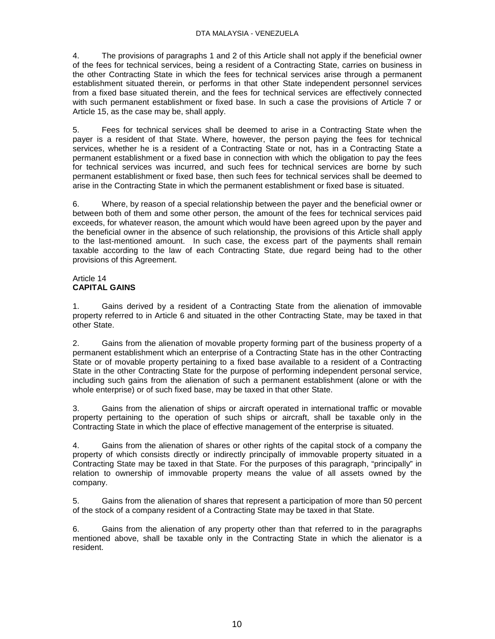#### DTA MALAYSIA - VENEZUELA

4. The provisions of paragraphs 1 and 2 of this Article shall not apply if the beneficial owner of the fees for technical services, being a resident of a Contracting State, carries on business in the other Contracting State in which the fees for technical services arise through a permanent establishment situated therein, or performs in that other State independent personnel services from a fixed base situated therein, and the fees for technical services are effectively connected with such permanent establishment or fixed base. In such a case the provisions of Article 7 or Article 15, as the case may be, shall apply.

5. Fees for technical services shall be deemed to arise in a Contracting State when the payer is a resident of that State. Where, however, the person paying the fees for technical services, whether he is a resident of a Contracting State or not, has in a Contracting State a permanent establishment or a fixed base in connection with which the obligation to pay the fees for technical services was incurred, and such fees for technical services are borne by such permanent establishment or fixed base, then such fees for technical services shall be deemed to arise in the Contracting State in which the permanent establishment or fixed base is situated.

6. Where, by reason of a special relationship between the payer and the beneficial owner or between both of them and some other person, the amount of the fees for technical services paid exceeds, for whatever reason, the amount which would have been agreed upon by the payer and the beneficial owner in the absence of such relationship, the provisions of this Article shall apply to the last-mentioned amount. In such case, the excess part of the payments shall remain taxable according to the law of each Contracting State, due regard being had to the other provisions of this Agreement.

#### Article 14 **CAPITAL GAINS**

1. Gains derived by a resident of a Contracting State from the alienation of immovable property referred to in Article 6 and situated in the other Contracting State, may be taxed in that other State.

2. Gains from the alienation of movable property forming part of the business property of a permanent establishment which an enterprise of a Contracting State has in the other Contracting State or of movable property pertaining to a fixed base available to a resident of a Contracting State in the other Contracting State for the purpose of performing independent personal service, including such gains from the alienation of such a permanent establishment (alone or with the whole enterprise) or of such fixed base, may be taxed in that other State.

3. Gains from the alienation of ships or aircraft operated in international traffic or movable property pertaining to the operation of such ships or aircraft, shall be taxable only in the Contracting State in which the place of effective management of the enterprise is situated.

4. Gains from the alienation of shares or other rights of the capital stock of a company the property of which consists directly or indirectly principally of immovable property situated in a Contracting State may be taxed in that State. For the purposes of this paragraph, "principally" in relation to ownership of immovable property means the value of all assets owned by the company.

5. Gains from the alienation of shares that represent a participation of more than 50 percent of the stock of a company resident of a Contracting State may be taxed in that State.

6. Gains from the alienation of any property other than that referred to in the paragraphs mentioned above, shall be taxable only in the Contracting State in which the alienator is a resident.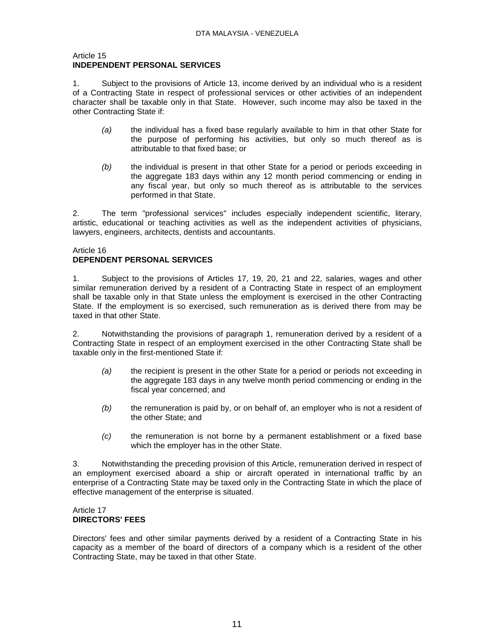#### Article 15 **INDEPENDENT PERSONAL SERVICES**

1. Subject to the provisions of Article 13, income derived by an individual who is a resident of a Contracting State in respect of professional services or other activities of an independent character shall be taxable only in that State. However, such income may also be taxed in the other Contracting State if:

- (a) the individual has a fixed base regularly available to him in that other State for the purpose of performing his activities, but only so much thereof as is attributable to that fixed base; or
- (b) the individual is present in that other State for a period or periods exceeding in the aggregate 183 days within any 12 month period commencing or ending in any fiscal year, but only so much thereof as is attributable to the services performed in that State.

2. The term "professional services" includes especially independent scientific, literary, artistic, educational or teaching activities as well as the independent activities of physicians, lawyers, engineers, architects, dentists and accountants.

### Article 16 **DEPENDENT PERSONAL SERVICES**

1. Subject to the provisions of Articles 17, 19, 20, 21 and 22, salaries, wages and other similar remuneration derived by a resident of a Contracting State in respect of an employment shall be taxable only in that State unless the employment is exercised in the other Contracting State. If the employment is so exercised, such remuneration as is derived there from may be taxed in that other State.

2. Notwithstanding the provisions of paragraph 1, remuneration derived by a resident of a Contracting State in respect of an employment exercised in the other Contracting State shall be taxable only in the first-mentioned State if:

- (a) the recipient is present in the other State for a period or periods not exceeding in the aggregate 183 days in any twelve month period commencing or ending in the fiscal year concerned; and
- $(b)$  the remuneration is paid by, or on behalf of, an employer who is not a resident of the other State; and
- (c) the remuneration is not borne by a permanent establishment or a fixed base which the employer has in the other State.

3. Notwithstanding the preceding provision of this Article, remuneration derived in respect of an employment exercised aboard a ship or aircraft operated in international traffic by an enterprise of a Contracting State may be taxed only in the Contracting State in which the place of effective management of the enterprise is situated.

#### Article 17 **DIRECTORS' FEES**

Directors' fees and other similar payments derived by a resident of a Contracting State in his capacity as a member of the board of directors of a company which is a resident of the other Contracting State, may be taxed in that other State.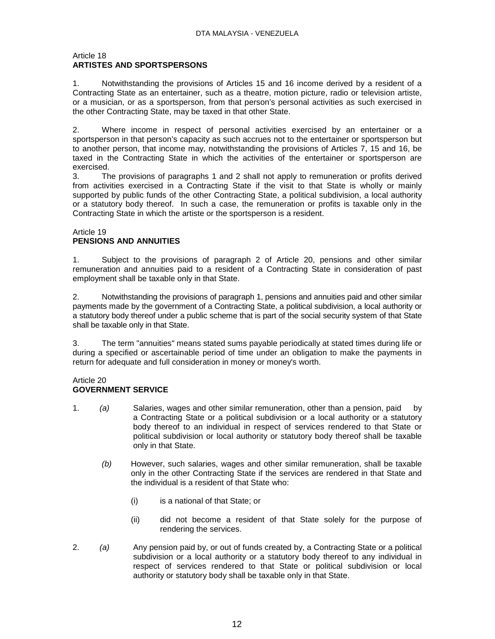#### Article 18 **ARTISTES AND SPORTSPERSONS**

1. Notwithstanding the provisions of Articles 15 and 16 income derived by a resident of a Contracting State as an entertainer, such as a theatre, motion picture, radio or television artiste, or a musician, or as a sportsperson, from that person's personal activities as such exercised in the other Contracting State, may be taxed in that other State.

2. Where income in respect of personal activities exercised by an entertainer or a sportsperson in that person's capacity as such accrues not to the entertainer or sportsperson but to another person, that income may, notwithstanding the provisions of Articles 7, 15 and 16, be taxed in the Contracting State in which the activities of the entertainer or sportsperson are exercised.

3. The provisions of paragraphs 1 and 2 shall not apply to remuneration or profits derived from activities exercised in a Contracting State if the visit to that State is wholly or mainly supported by public funds of the other Contracting State, a political subdivision, a local authority or a statutory body thereof. In such a case, the remuneration or profits is taxable only in the Contracting State in which the artiste or the sportsperson is a resident.

# Article 19 **PENSIONS AND ANNUITIES**

1. Subject to the provisions of paragraph 2 of Article 20, pensions and other similar remuneration and annuities paid to a resident of a Contracting State in consideration of past employment shall be taxable only in that State.

2. Notwithstanding the provisions of paragraph 1, pensions and annuities paid and other similar payments made by the government of a Contracting State, a political subdivision, a local authority or a statutory body thereof under a public scheme that is part of the social security system of that State shall be taxable only in that State.

3. The term "annuities" means stated sums payable periodically at stated times during life or during a specified or ascertainable period of time under an obligation to make the payments in return for adequate and full consideration in money or money's worth.

### Article 20 **GOVERNMENT SERVICE**

- 1. (a) Salaries, wages and other similar remuneration, other than a pension, paid by a Contracting State or a political subdivision or a local authority or a statutory body thereof to an individual in respect of services rendered to that State or political subdivision or local authority or statutory body thereof shall be taxable only in that State.
	- (b) However, such salaries, wages and other similar remuneration, shall be taxable only in the other Contracting State if the services are rendered in that State and the individual is a resident of that State who:
		- (i) is a national of that State; or
		- (ii) did not become a resident of that State solely for the purpose of rendering the services.
- 2. (a) Any pension paid by, or out of funds created by, a Contracting State or a political subdivision or a local authority or a statutory body thereof to any individual in respect of services rendered to that State or political subdivision or local authority or statutory body shall be taxable only in that State.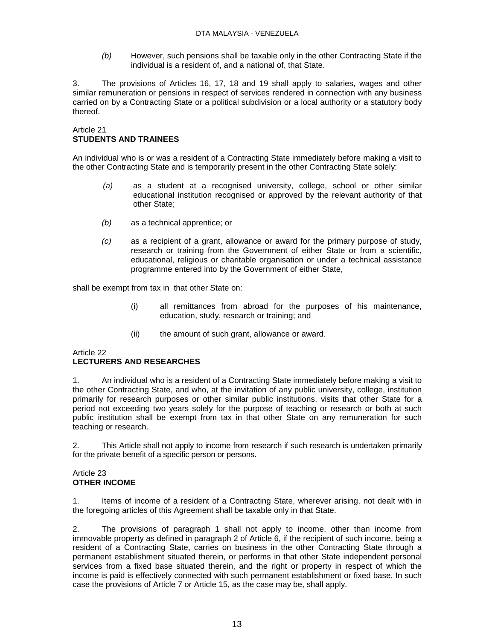(b) However, such pensions shall be taxable only in the other Contracting State if the individual is a resident of, and a national of, that State.

3. The provisions of Articles 16, 17, 18 and 19 shall apply to salaries, wages and other similar remuneration or pensions in respect of services rendered in connection with any business carried on by a Contracting State or a political subdivision or a local authority or a statutory body thereof.

### Article 21 **STUDENTS AND TRAINEES**

An individual who is or was a resident of a Contracting State immediately before making a visit to the other Contracting State and is temporarily present in the other Contracting State solely:

- (a) as a student at a recognised university, college, school or other similar educational institution recognised or approved by the relevant authority of that other State;
- (b) as a technical apprentice; or
- (c) as a recipient of a grant, allowance or award for the primary purpose of study, research or training from the Government of either State or from a scientific, educational, religious or charitable organisation or under a technical assistance programme entered into by the Government of either State,

shall be exempt from tax in that other State on:

- (i) all remittances from abroad for the purposes of his maintenance, education, study, research or training; and
- (ii) the amount of such grant, allowance or award.

# Article 22 **LECTURERS AND RESEARCHES**

1. An individual who is a resident of a Contracting State immediately before making a visit to the other Contracting State, and who, at the invitation of any public university, college, institution primarily for research purposes or other similar public institutions, visits that other State for a period not exceeding two years solely for the purpose of teaching or research or both at such public institution shall be exempt from tax in that other State on any remuneration for such teaching or research.

2. This Article shall not apply to income from research if such research is undertaken primarily for the private benefit of a specific person or persons.

#### Article 23 **OTHER INCOME**

1. Items of income of a resident of a Contracting State, wherever arising, not dealt with in the foregoing articles of this Agreement shall be taxable only in that State.

2. The provisions of paragraph 1 shall not apply to income, other than income from immovable property as defined in paragraph 2 of Article 6, if the recipient of such income, being a resident of a Contracting State, carries on business in the other Contracting State through a permanent establishment situated therein, or performs in that other State independent personal services from a fixed base situated therein, and the right or property in respect of which the income is paid is effectively connected with such permanent establishment or fixed base. In such case the provisions of Article 7 or Article 15, as the case may be, shall apply.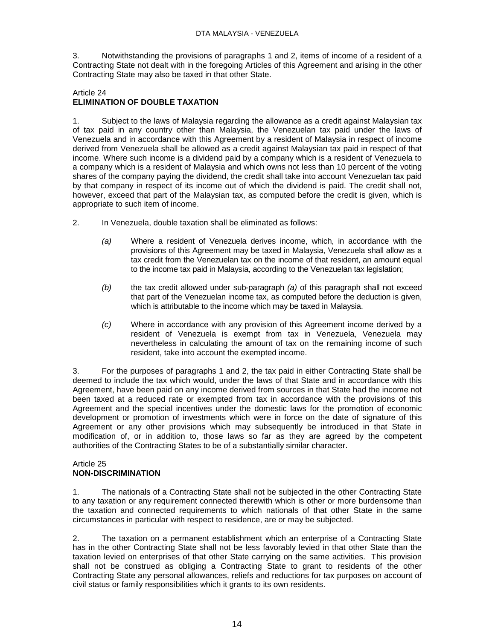3. Notwithstanding the provisions of paragraphs 1 and 2, items of income of a resident of a Contracting State not dealt with in the foregoing Articles of this Agreement and arising in the other Contracting State may also be taxed in that other State.

# Article 24 **ELIMINATION OF DOUBLE TAXATION**

1. Subject to the laws of Malaysia regarding the allowance as a credit against Malaysian tax of tax paid in any country other than Malaysia, the Venezuelan tax paid under the laws of Venezuela and in accordance with this Agreement by a resident of Malaysia in respect of income derived from Venezuela shall be allowed as a credit against Malaysian tax paid in respect of that income. Where such income is a dividend paid by a company which is a resident of Venezuela to a company which is a resident of Malaysia and which owns not less than 10 percent of the voting shares of the company paying the dividend, the credit shall take into account Venezuelan tax paid by that company in respect of its income out of which the dividend is paid. The credit shall not, however, exceed that part of the Malaysian tax, as computed before the credit is given, which is appropriate to such item of income.

- 2. In Venezuela, double taxation shall be eliminated as follows:
	- (a) Where a resident of Venezuela derives income, which, in accordance with the provisions of this Agreement may be taxed in Malaysia, Venezuela shall allow as a tax credit from the Venezuelan tax on the income of that resident, an amount equal to the income tax paid in Malaysia, according to the Venezuelan tax legislation;
	- $(b)$  the tax credit allowed under sub-paragraph  $(a)$  of this paragraph shall not exceed that part of the Venezuelan income tax, as computed before the deduction is given, which is attributable to the income which may be taxed in Malaysia.
	- (c) Where in accordance with any provision of this Agreement income derived by a resident of Venezuela is exempt from tax in Venezuela, Venezuela may nevertheless in calculating the amount of tax on the remaining income of such resident, take into account the exempted income.

3. For the purposes of paragraphs 1 and 2, the tax paid in either Contracting State shall be deemed to include the tax which would, under the laws of that State and in accordance with this Agreement, have been paid on any income derived from sources in that State had the income not been taxed at a reduced rate or exempted from tax in accordance with the provisions of this Agreement and the special incentives under the domestic laws for the promotion of economic development or promotion of investments which were in force on the date of signature of this Agreement or any other provisions which may subsequently be introduced in that State in modification of, or in addition to, those laws so far as they are agreed by the competent authorities of the Contracting States to be of a substantially similar character.

#### Article 25 **NON-DISCRIMINATION**

1. The nationals of a Contracting State shall not be subjected in the other Contracting State to any taxation or any requirement connected therewith which is other or more burdensome than the taxation and connected requirements to which nationals of that other State in the same circumstances in particular with respect to residence, are or may be subjected.

2. The taxation on a permanent establishment which an enterprise of a Contracting State has in the other Contracting State shall not be less favorably levied in that other State than the taxation levied on enterprises of that other State carrying on the same activities. This provision shall not be construed as obliging a Contracting State to grant to residents of the other Contracting State any personal allowances, reliefs and reductions for tax purposes on account of civil status or family responsibilities which it grants to its own residents.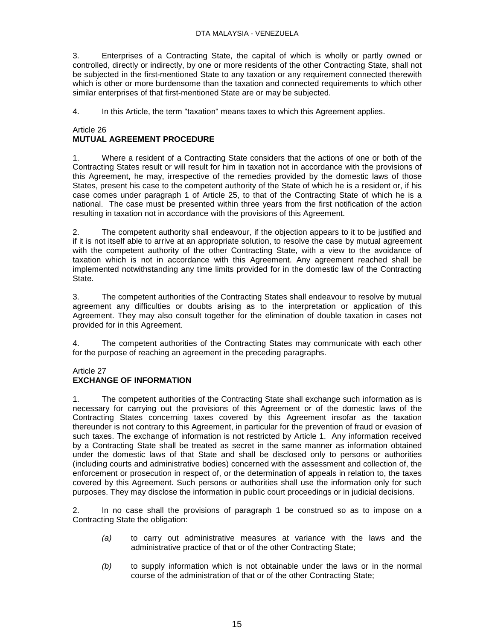#### DTA MALAYSIA - VENEZUELA

3. Enterprises of a Contracting State, the capital of which is wholly or partly owned or controlled, directly or indirectly, by one or more residents of the other Contracting State, shall not be subjected in the first-mentioned State to any taxation or any requirement connected therewith which is other or more burdensome than the taxation and connected requirements to which other similar enterprises of that first-mentioned State are or may be subjected.

4. In this Article, the term "taxation" means taxes to which this Agreement applies.

# Article 26

# **MUTUAL AGREEMENT PROCEDURE**

1. Where a resident of a Contracting State considers that the actions of one or both of the Contracting States result or will result for him in taxation not in accordance with the provisions of this Agreement, he may, irrespective of the remedies provided by the domestic laws of those States, present his case to the competent authority of the State of which he is a resident or, if his case comes under paragraph 1 of Article 25, to that of the Contracting State of which he is a national. The case must be presented within three years from the first notification of the action resulting in taxation not in accordance with the provisions of this Agreement.

2. The competent authority shall endeavour, if the objection appears to it to be justified and if it is not itself able to arrive at an appropriate solution, to resolve the case by mutual agreement with the competent authority of the other Contracting State, with a view to the avoidance of taxation which is not in accordance with this Agreement. Any agreement reached shall be implemented notwithstanding any time limits provided for in the domestic law of the Contracting State.

3. The competent authorities of the Contracting States shall endeavour to resolve by mutual agreement any difficulties or doubts arising as to the interpretation or application of this Agreement. They may also consult together for the elimination of double taxation in cases not provided for in this Agreement.

4. The competent authorities of the Contracting States may communicate with each other for the purpose of reaching an agreement in the preceding paragraphs.

#### Article 27 **EXCHANGE OF INFORMATION**

1. The competent authorities of the Contracting State shall exchange such information as is necessary for carrying out the provisions of this Agreement or of the domestic laws of the Contracting States concerning taxes covered by this Agreement insofar as the taxation thereunder is not contrary to this Agreement, in particular for the prevention of fraud or evasion of such taxes. The exchange of information is not restricted by Article 1. Any information received by a Contracting State shall be treated as secret in the same manner as information obtained under the domestic laws of that State and shall be disclosed only to persons or authorities (including courts and administrative bodies) concerned with the assessment and collection of, the enforcement or prosecution in respect of, or the determination of appeals in relation to, the taxes covered by this Agreement. Such persons or authorities shall use the information only for such purposes. They may disclose the information in public court proceedings or in judicial decisions.

2. In no case shall the provisions of paragraph 1 be construed so as to impose on a Contracting State the obligation:

- (a) to carry out administrative measures at variance with the laws and the administrative practice of that or of the other Contracting State;
- (b) to supply information which is not obtainable under the laws or in the normal course of the administration of that or of the other Contracting State;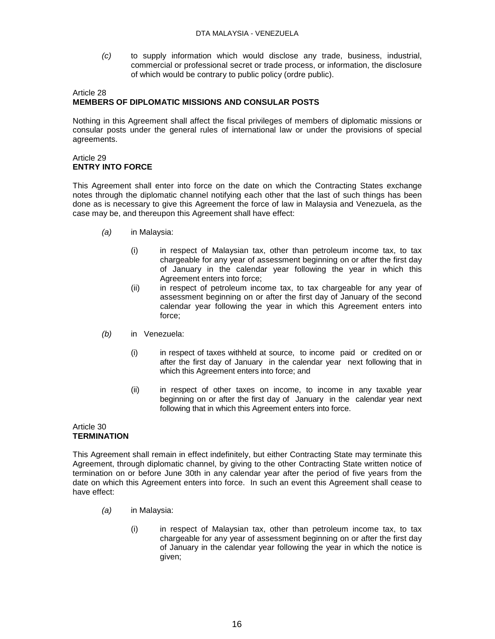(c) to supply information which would disclose any trade, business, industrial, commercial or professional secret or trade process, or information, the disclosure of which would be contrary to public policy (ordre public).

# Article 28 **MEMBERS OF DIPLOMATIC MISSIONS AND CONSULAR POSTS**

Nothing in this Agreement shall affect the fiscal privileges of members of diplomatic missions or consular posts under the general rules of international law or under the provisions of special agreements.

### Article 29 **ENTRY INTO FORCE**

This Agreement shall enter into force on the date on which the Contracting States exchange notes through the diplomatic channel notifying each other that the last of such things has been done as is necessary to give this Agreement the force of law in Malaysia and Venezuela, as the case may be, and thereupon this Agreement shall have effect:

- (a) in Malaysia:
	- (i) in respect of Malaysian tax, other than petroleum income tax, to tax chargeable for any year of assessment beginning on or after the first day of January in the calendar year following the year in which this Agreement enters into force;
	- (ii) in respect of petroleum income tax, to tax chargeable for any year of assessment beginning on or after the first day of January of the second calendar year following the year in which this Agreement enters into force;
- (b) in Venezuela:
	- (i) in respect of taxes withheld at source, to income paid or credited on or after the first day of January in the calendar year next following that in which this Agreement enters into force; and
	- (ii) in respect of other taxes on income, to income in any taxable year beginning on or after the first day of January in the calendar year next following that in which this Agreement enters into force.

#### Article 30 **TERMINATION**

This Agreement shall remain in effect indefinitely, but either Contracting State may terminate this Agreement, through diplomatic channel, by giving to the other Contracting State written notice of termination on or before June 30th in any calendar year after the period of five years from the date on which this Agreement enters into force. In such an event this Agreement shall cease to have effect:

- (a) in Malaysia:
	- (i) in respect of Malaysian tax, other than petroleum income tax, to tax chargeable for any year of assessment beginning on or after the first day of January in the calendar year following the year in which the notice is given;